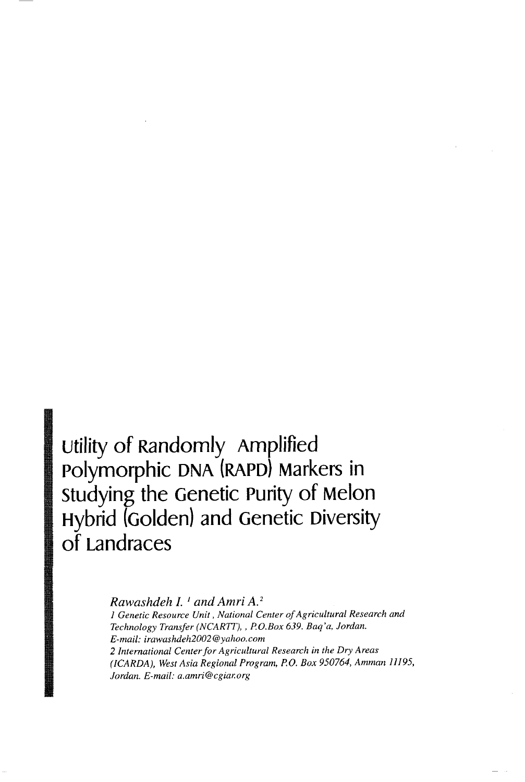Utility of Randomly Amplified Polymorphic DNA (RAPD) Markers in studying the Genetic Purity of Melon Hybrid (Golden) and Genetic Diversity of Landraces

Rawashdeh I. ' and Amri A.<sup>2</sup>

I Genetic Resource Unit, National Center of Agricultural Research and Technology Transfer (NCARTT), , P.O.Box 639. Baq'a, Jordan. E-mail: irawashdeh2002@yahoo.com 2 International Center for Agricultural Research in the Dry Areas (ICARDA), West Asia Regional Program, P.O. Box 950764, Amman 11195, Jordan. E-mail: a.amri@cgiar.org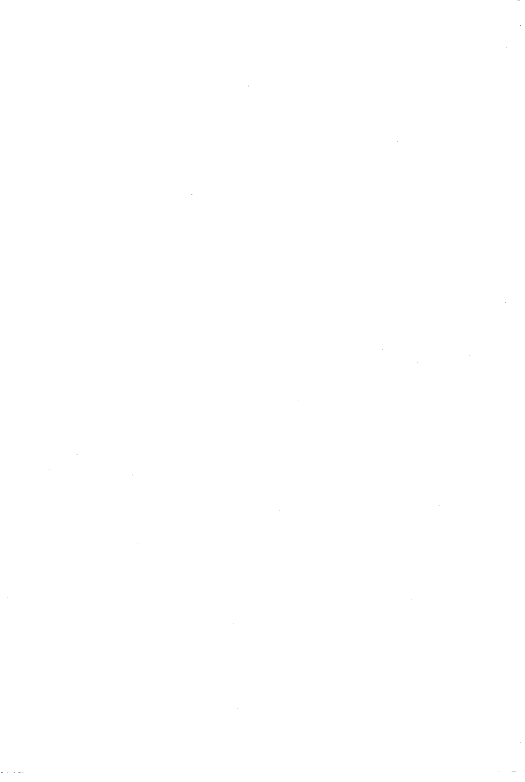$\label{eq:2.1} \mathcal{L}(\mathcal{L}^{\mathcal{L}}_{\mathcal{L}}(\mathcal{L}^{\mathcal{L}}_{\mathcal{L}})) = \mathcal{L}(\mathcal{L}^{\mathcal{L}}_{\mathcal{L}}(\mathcal{L}^{\mathcal{L}}_{\mathcal{L}})) = \mathcal{L}(\mathcal{L}^{\mathcal{L}}_{\mathcal{L}}(\mathcal{L}^{\mathcal{L}}_{\mathcal{L}}))$  $\sim 10^{-1}$  $\mathcal{L}^{\mathcal{L}}_{\mathcal{L}}$  and  $\mathcal{L}^{\mathcal{L}}_{\mathcal{L}}$  and  $\mathcal{L}^{\mathcal{L}}_{\mathcal{L}}$ 

 $\mathcal{L}^{(1)}$ 

T.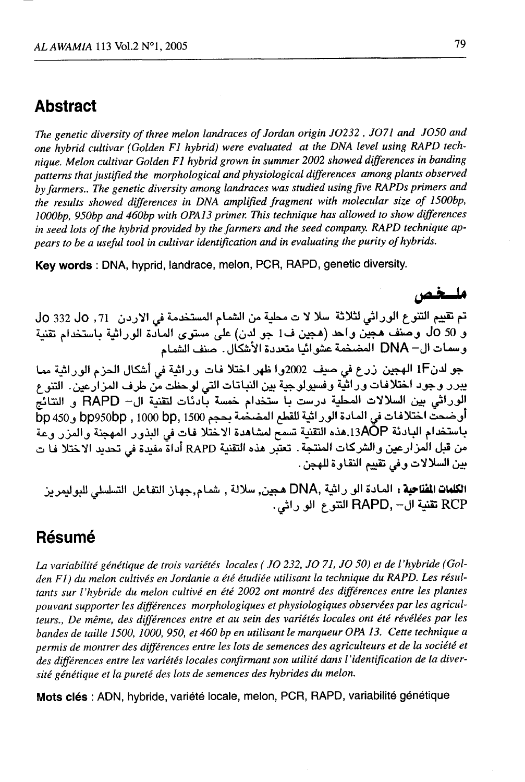# **Abstract**

The genetic diversity of three melon landraces of Jordan origin JO232, JO71 and JO50 and one hybrid cultivar (Golden F1 hybrid) were evaluated at the DNA level using RAPD technique. Melon cultivar Golden F1 hybrid grown in summer 2002 showed differences in banding patterns that justified the morphological and physiological differences among plants observed by farmers.. The genetic diversity among landraces was studied using five RAPDs primers and the results showed differences in DNA amplified fragment with molecular size of 1500bp, 1000bp, 950bp and 460bp with OPA13 primer. This technique has allowed to show differences in seed lots of the hybrid provided by the farmers and the seed company. RAPD technique appears to be a useful tool in cultivar identification and in evaluating the purity of hybrids.

Key words: DNA, hyprid, landrace, melon, PCR, RAPD, genetic diversity.

### ملسخص

تم تقييم التنوع الوراثي لثلاثة سلا لا ت محلية من الشمام المستخدمة في الاردن 71, Uo 332 Uo . و 50 Jo وصنف هجيّن واحد (هجين ف1 جو لدن) على مستوى المادة الوراثية باستخدام تقنية وسمات ال— DNA المضخمة عشوائيا متعددة الأشكال . صنف الشمام

جو لدنIF الهجين زرع في صيف 2002وا ظهر اختلا فات وراثية في أشكال الحزم الوراثية مما يبرر وجود اختلافات وراثيَّة وفسيولوجية بين النباتات التي لوحظت مَّن طرف المزارعين. التنو ع الوراثي بين السلالات المحلية درست با ستخدام خمسة بادئات لتقنية ال– RAPD و النتائج أو ضحت اختلافات في المادة الوراثية للقطع المضخمة بحجم 1500 bp950bp , 1000 bp, 1500 و 50 bp باستخدام البادئة 13AOP.هذه التقنية تسمح لمشاهدة الاختلا فات في البذور المهجنة والمزر وعة من قبل المزارعين والشركات المنتجة . تعتبر هذه التقنية RAPD أداةً مفيدة في تحديد الاختلا فا ت بين السلالات وفي تقييم النقاوة للهجن.

ا**لكلعات المفتاحية :** المـادة الو راثية ,DNA هجين, سلالة , شمـام,جهـاز التفـاعل التسلسلي للبوليمريز RCP تقنية ال– ,RAPD التنوع الو راثي.

# **Résumé**

La variabilité génétique de trois variétés locales (JO 232, JO 71, JO 50) et de l'hybride (Golden F1) du melon cultivés en Jordanie a été étudiée utilisant la technique du RAPD. Les résultants sur l'hybride du melon cultivé en été 2002 ont montré des différences entre les plantes pouvant supporter les différences morphologiques et physiologiques observées par les agriculteurs., De même, des différences entre et au sein des variétés locales ont été révélées par les bandes de taille 1500, 1000, 950, et 460 bp en utilisant le marqueur OPA 13. Cette technique a permis de montrer des différences entre les lots de semences des agriculteurs et de la société et des différences entre les variétés locales confirmant son utilité dans l'identification de la diversité génétique et la pureté des lots de semences des hybrides du melon.

Mots clés : ADN, hybride, variété locale, melon, PCR, RAPD, variabilité génétique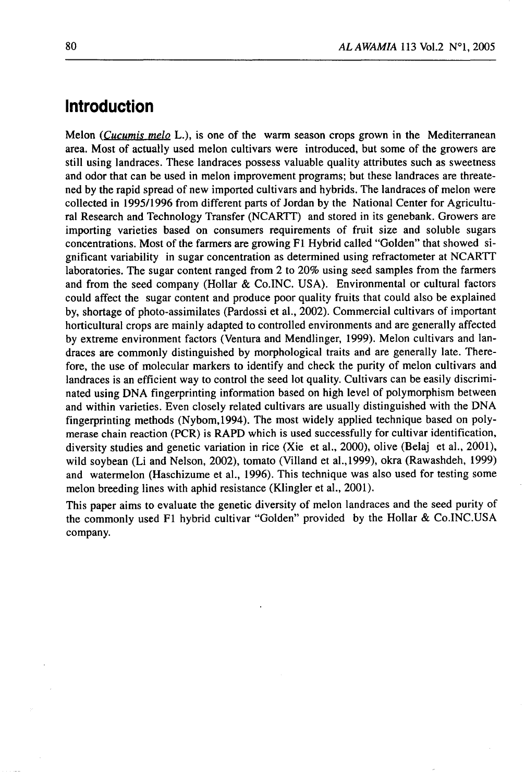## Introduction

Melon (*Cucumis melo L.*), is one of the warm season crops grown in the Mediterranean area. Most of actually used melon cultivars were introduced, but some of the growers are still using landraces. These landraces possess valuable quality attributes such as sweetness and odor that can be used in melon improvement programs; but these landraces are threatened by the rapid spread of new imported cultivars and hybrids. The landraces of melon were collected in 199511996 from different parts of Jordan by the National Center for Agricultural Research and Technology Transfer (NCARTT) and stored in its genebank. Growers are importing varieties based on consumers requirements of fruit size and soluble sugars concentrations. Most of the farmers are growing Fl Hybrid called "Golden" that showed significant variability in sugar concentration as determined using refractometer at NCARffi laboratories. The sugar content ranged from 2 to  $20\%$  using seed samples from the farmers and from the seed company (Hollar & Co.INC. USA). Environmental or cultural factors could affect the sugar content and produce poor quality fruits that could also be explained by, shortage of photo-assimilates (Pardossi et al,,2002). Commercial cultivars of important horticultural crops are mainly adapted to controlled environments and are generally affected by extreme environment factors (Ventura and Mendlinger, 1999). Melon cultivars and landraces are commonly distinguished by morphological traits and are generally late. Therefore, the use of molecular markers to identify and check the purity of melon cultivars and landraces is an efficient way to control the seed lot quality. Cultivars can be easily discriminated using DNA fingerprinting information based on high level of polymorphism between and within varieties. Even closely related cultivars are usually distinguished with the DNA fingerprinting methods (Nybom,1994). The most widely applied technique based on polymerase chain reaction (PCR) is RAPD which is used successfully for cultivar identification, diversity studies and genetic variation in rice (Xie et al., 2000), olive (Belaj et al.,20Ol), wild soybean (Li and Nelson, 2002), tomato (Villand et a1.,1999), okra (Rawashdeh, 1999) and watermelon (Haschizume et al., 1996). This technique was also used for testing some melon breeding lines with aphid resistance (Klingler et al., 2001).

This paper aims to evaluate the genetic diversity of melon landraces and the seed purity of the commonly used Fl hybrid cultivar "Golden" provided by the Hollar & Co.INC.USA company.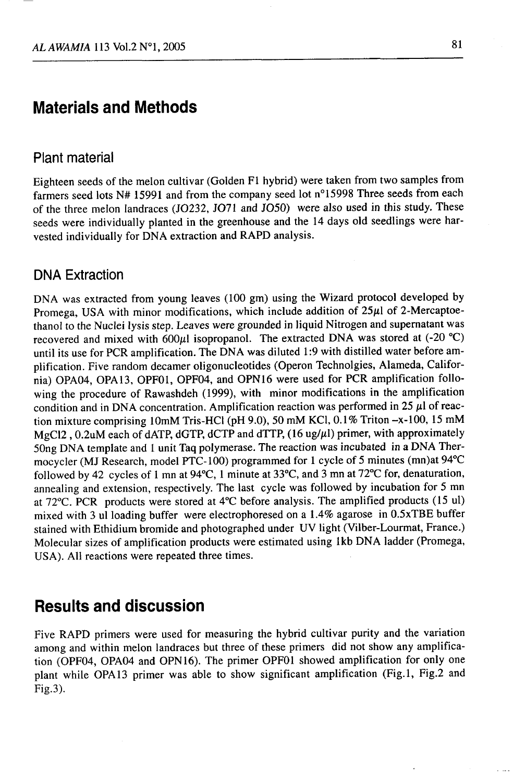### Materials and Methods

### Plant material

Eighteen seeds of the melon cultivar (Golden Fl hybrid) were taken from two samples from farmers seed lots N# 15991 and from the company seed lot n'15998 Three seeds from each of the three melon landraces (JO232, JO71 and JO50) were also used in this study. These seeds were individually planted in the greenhouse and the 14 days old seedlings were harvested individually for DNA extraction and RAPD analysis.

### DNA Extraction

DNA was exrracted from young leaves (100 gm) using the Wizard protocol developed by Promega, USA with minor modifications, which include addition of  $25\mu$ 1 of 2-Mercaptoethanol to the Nuclei lysis step. Leaves were grounded in liquid Nitrogen and supernatant was recovered and mixed with 600 $\mu$ l isopropanol. The extracted DNA was stored at (-20 °C) until its use for PCR amplification. The DNA was diluted 1:9 with distilled water before amplification. Five random decamer oligonucleotides (Operon Technolgies, Alameda, California) OPA04, OPAI3, OPF01, OPF04, and OPNI6 were used for PCR amplification following the procedure of Rawashdeh (1999), with minor modifications in the amplification condition and in DNA concentration. Amplification reaction was performed in 25  $\mu$ l of reaction mixture comprising 10mM Tris-HCl (pH 9.0), 50 mM KCl, 0.1% Triton  $-x-100$ , 15 mM MgCl2,  $0.2$ uM each of dATP, dGTP, dCTP and dTTP,  $(16 \frac{ug}{\mu})$  primer, with approximately 50ng DNA template and I unit Taq polymerase. The reaction was incubated in a DNA Thermocycler (MJ Research, model PTC- 100) programmed for I cycle of 5 minutes (mn)at 94"C followed by 42 cycles of 1 mn at 94°C, 1 minute at 33°C, and 3 mn at 72°C for, denaturation, annealing and extension, respectively. The last cycle was followed by incubation for 5 mn at  $72^{\circ}$ C. PCR products were stored at  $4^{\circ}$ C before analysis. The amplified products (15 ul) mixed with 3 ul loading buffer were electrophoresed on a  $1.4\%$  agarose in 0.5xTBE buffer stained wirh Ethidium bromide and photographed under UV light (Vilber-Lourmat, France.) Molecular sizes of amplification products were estimated using lkb DNA ladder (Promega, USA). All reactions were repeated three times.

# Results and discussion

Five RAPD primers were used for measuring the hybrid cultivar purity and the variation among and within melon landraces but three of these primers did not show any amplification (OPF04, OPA04 and OPNI6). The primer OPFOI showed amplification for only one plant while OPAI3 primer was able to show significant amplification (Fig.l, Fig.2 and Fie.3).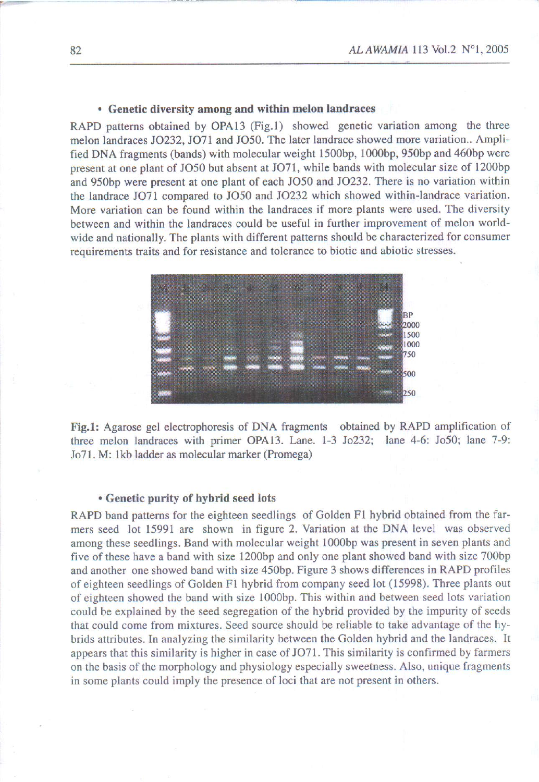#### • Genetic diversity among and within melon landraces

RAPD patterns obtained by OPA13 (Fig.l) showed genetic variation among the three melon landraces JO232, JO71 and JO50. The later landrace showed more variation.. Amplified DNA fragments (bands) with molecular weight l500bp, l000bp, 950bp and 460bp were present at one plant of JO50 but absent at JO71, while bands with molecular size of l200bp and 950bp were present at one plant of each JO50 and JO232. There is no variation within the landrace JO71 compared to JO50 and JO232 which showed within-landrace variation. More variation can be found within the landraces if more plants were used. The diversity between and within the landraces could be useful in further improvement of melon worldwide and nationally. The plants with different pattems should be characterized for consumer requirements traits and for resistance and tolerance to biotic and abiotic stresses.



Fig.1: Agarose gel electrophoresis of DNA fragments obtained by RAPD amplification of three melon landraces with primer OPAI3. Lane. 1-3 Jo232: lane 4-6: Jo50; lane 7-9: Jo71. M: 1kb ladder as molecular marker (Promega)

#### • Genetic purity of hybrid seed lots

RAPD band pattems for the eighteen seedlings of Golden Fl hybrid obtained from the farmers seed lot 15991 are shown in figure 2. Variation at the DNA level was obserued among these seedlings. Band with molecular weight l000bp was present in seven plants and five of these have a band with size 1200bp and only one plant showed band with size 700bp and another one showed band with size 450bp. Figure 3 shows differences in RAPD profiles of eighteen seedlings of Golden Fl hybrid from company seed lot (15998). Three plants out of eighteen showed the band with size 1000bp. This within aid between seed lots variation could be explained by the seed segregation of the hybrid provided by the impurity of seeds that could come from mixtures. Seed source should be reliable to take advantage of the hybrids attributes. In analyzing the similarity between the Golden hybrid and the landraces. It appears that this similarity is higher in case of JO71. This similarity is confirmed by farmers on the basis of the morphology and physiology especially sweetness. Also, unique fragments in some plants could imply the presence of loci that are not present in others.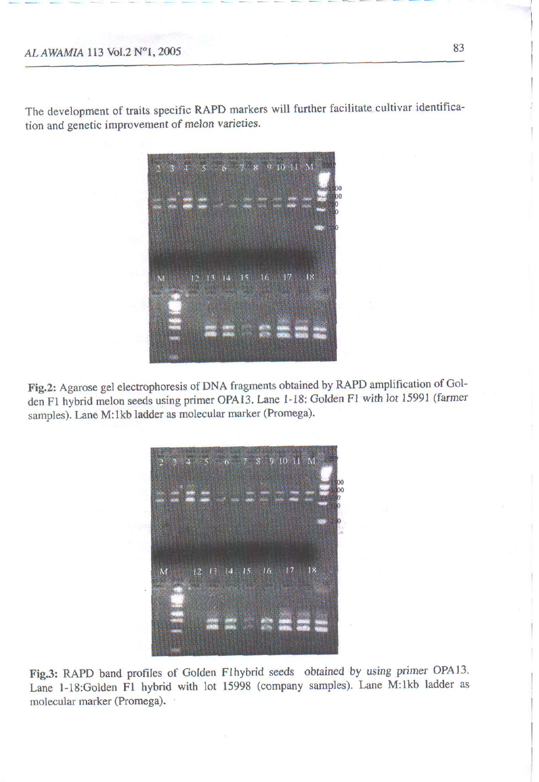9 10 11 M  $13, 14, 15$ ់ត្រ 17 18 M  $12<sup>1</sup>$ 

Fig,2: Agarose gel electrophoresis of DNA fragments obtained by RAPD amplification of Golden F1 hybrid melon seeds using primer OPA 13. Lane 1-18: Golden F1 with lot 15991 (farmer samples). Lane M:1kb ladder as molecular marker (Promega).



Fig.3: RAPD band profiles of Golden Flhybrid seeds obtained by using primer OPA13. Lane 1-18:Golden F1 hybrid with lot 15998 (company samples). Lane M:1kb ladder as molecular marker (Promega).

The development of traits specific RAPD markers will further facilitate cultivar identification and genetic improvement of melon varieties.